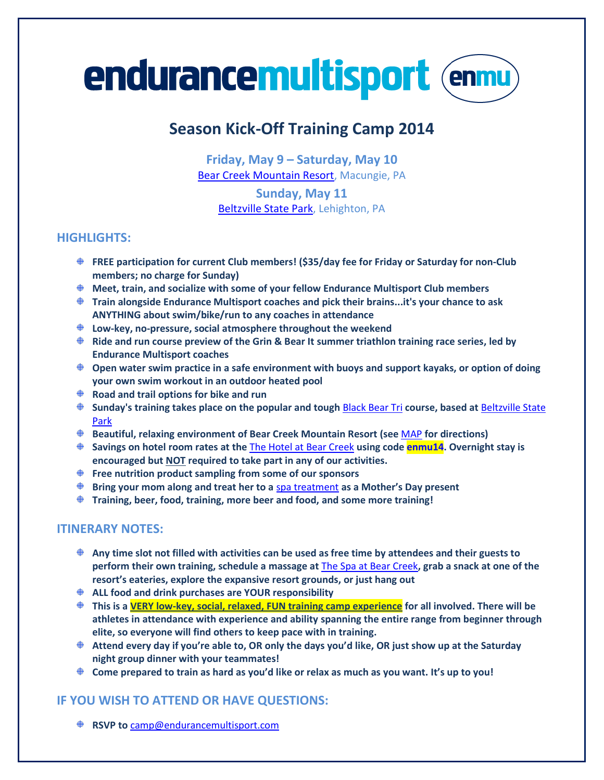# **endurancemultisport (enmu)**

# **Season Kick-Off Training Camp 2014**

**Friday, May 9 – Saturday, May 10** [Bear Creek Mountain Resort,](http://www.bcmountainresort.com/) Macungie, PA

**Sunday, May 11** [Beltzville State Park,](https://www.google.com/maps/place/2199+Pohopoco+Dr/@40.8623448,-75.6255633,721m/data=!3m1!1e3!4m2!3m1!1s0x89c4520ed72e1c0b:0xbc97fde4968c6a16?hl=en) Lehighton, PA

# **HIGHLIGHTS:**

- **FREE participation for current Club members! (\$35/day fee for Friday or Saturday for non-Club members; no charge for Sunday)**
- **Meet, train, and socialize with some of your fellow Endurance Multisport Club members**
- **Train alongside Endurance Multisport coaches and pick their brains...it's your chance to ask ANYTHING about swim/bike/run to any coaches in attendance**
- **Low-key, no-pressure, social atmosphere throughout the weekend**
- **Ride and run course preview of the Grin & Bear It summer triathlon training race series, led by Endurance Multisport coaches**
- **Open water swim practice in a safe environment with buoys and support kayaks, or option of doing your own swim workout in an outdoor heated pool**
- **Road and trail options for bike and run**
- **Sunday's training takes place on the popular and tough** [Black Bear Tri](http://www.cgiracing.com/blackbeartri/Home.aspx) **course, based at** [Beltzville State](https://www.google.com/maps/place/2199+Pohopoco+Dr/@40.8623448,-75.6255633,721m/data=!3m1!1e3!4m2!3m1!1s0x89c4520ed72e1c0b:0xbc97fde4968c6a16?hl=en)  [Park](https://www.google.com/maps/place/2199+Pohopoco+Dr/@40.8623448,-75.6255633,721m/data=!3m1!1e3!4m2!3m1!1s0x89c4520ed72e1c0b:0xbc97fde4968c6a16?hl=en)
- **Beautiful, relaxing environment of Bear Creek Mountain Resort (see** [MAP](http://maps.google.com/maps?q=Bear+Creek+Mountain+Resort+%26+Conference+Center,+101+Doe+Mountain+Lane,+Macungie,+PA&hl=en&sll=37.0625,-95.677068&sspn=48.287373,107.138672&oq=Bear+Creek&hq=Bear+Creek+Mountain+Resort+%26+Conference+Center,+101+Doe+Mountain+L) **for directions)**
- **Savings on hotel room rates at the** [The Hotel at Bear Creek](http://www.bcmountainresort.com/hotel/hotel-l/reservations) **using code enmu14. Overnight stay is encouraged but NOT required to take part in any of our activities.**
- **Free nutrition product sampling from some of our sponsors**
- **Bring your mom along and treat her to a** [spa treatment](http://www.bcmountainresort.com/spa) **as a Mother's Day present**
- **Training, beer, food, training, more beer and food, and some more training!**

### **ITINERARY NOTES:**

- **Any time slot not filled with activities can be used as free time by attendees and their guests to perform their own training, schedule a massage at** [The Spa at Bear Creek](http://www.bcmountainresort.com/spa)**, grab a snack at one of the resort's eateries, explore the expansive resort grounds, or just hang out**
- **ALL food and drink purchases are YOUR responsibility**
- **This is a VERY low-key, social, relaxed, FUN training camp experience for all involved. There will be athletes in attendance with experience and ability spanning the entire range from beginner through elite, so everyone will find others to keep pace with in training.**
- **Attend every day if you're able to, OR only the days you'd like, OR just show up at the Saturday night group dinner with your teammates!**
- **Come prepared to train as hard as you'd like or relax as much as you want. It's up to you!**

# **IF YOU WISH TO ATTEND OR HAVE QUESTIONS:**

**♦ RSVP to [camp@endurancemultisport.com](mailto:camp@endurancemultisport.com)**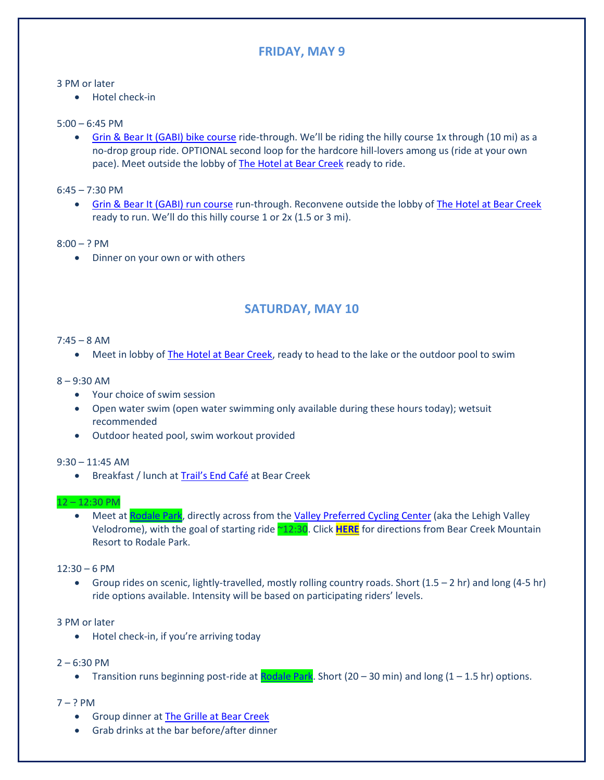# **FRIDAY, MAY 9**

#### 3 PM or later

Hotel check-in

#### 5:00 – 6:45 PM

• [Grin & Bear It \(GABI\) bike course](http://www.endurancemultisport.com/grinandbearit/course.html) ride-through. We'll be riding the hilly course 1x through (10 mi) as a no-drop group ride. OPTIONAL second loop for the hardcore hill-lovers among us (ride at your own pace). Meet outside the lobby of [The Hotel at Bear Creek](http://www.bcmountainresort.com/hotel/hotel-l/reservations) ready to ride.

6:45 – 7:30 PM

**[Grin & Bear It \(GABI\) run course](http://www.endurancemultisport.com/grinandbearit/course.html) run-through. Reconvene outside the lobby o[f The Hotel at Bear Creek](http://www.bcmountainresort.com/hotel/hotel-l/reservations)** ready to run. We'll do this hilly course 1 or 2x (1.5 or 3 mi).

 $8:00 - ?$  PM

• Dinner on your own or with others

# **SATURDAY, MAY 10**

#### $7:45 - 8$  AM

• Meet in lobby of **The Hotel at Bear Creek**, ready to head to the lake or the outdoor pool to swim

#### 8 – 9:30 AM

- Your choice of swim session
- Open water swim (open water swimming only available during these hours today); wetsuit recommended
- Outdoor heated pool, swim workout provided

#### 9:30 – 11:45 AM

**•** Breakfast / lunch at [Trail's End Café](http://www.bcmountainresort.com/dining/dining/trail-s-end-cafe) at Bear Creek

#### 12 – 12:30 PM

• Meet a[t Rodale Park,](http://www.lehighcounty.org/Departments/ParksAndRecreation/OurParks/RodalePark/tabid/451/Default.aspx) directly across from the [Valley Preferred Cycling Center](http://www.thevelodrome.com/) (aka the Lehigh Valley Velodrome), with the goal of starting ride ~12:30. Click **[HERE](https://www.google.com/maps/dir/Bear+Creek+Mountain+Resort+%26+Conference+Center,+101+Doe+Mountain+Ln,+Macungie,+PA+18062/40.5469231,-75.6125343/@40.5192746,-75.5923812,13z/data=!4m14!4m13!1m10!1m1!1s0x89c42e9fe240f443:0x68581d7db1d98bd8!2m2!1d-75.625295!2)** for directions from Bear Creek Mountain Resort to Rodale Park.

#### $12:30 - 6$  PM

 Group rides on scenic, lightly-travelled, mostly rolling country roads. Short (1.5 – 2 hr) and long (4-5 hr) ride options available. Intensity will be based on participating riders' levels.

#### 3 PM or later

- Hotel check-in, if you're arriving today
- $2 6:30$  PM
	- Transition runs beginning post-ride at **Rodale Park**. Short (20 30 min) and long (1 1.5 hr) options.
- $7 ? PM$ 
	- Group dinner at [The Grille at Bear Creek](http://www.bcmountainresort.com/dining/dining/the-grille)
	- Grab drinks at the bar before/after dinner